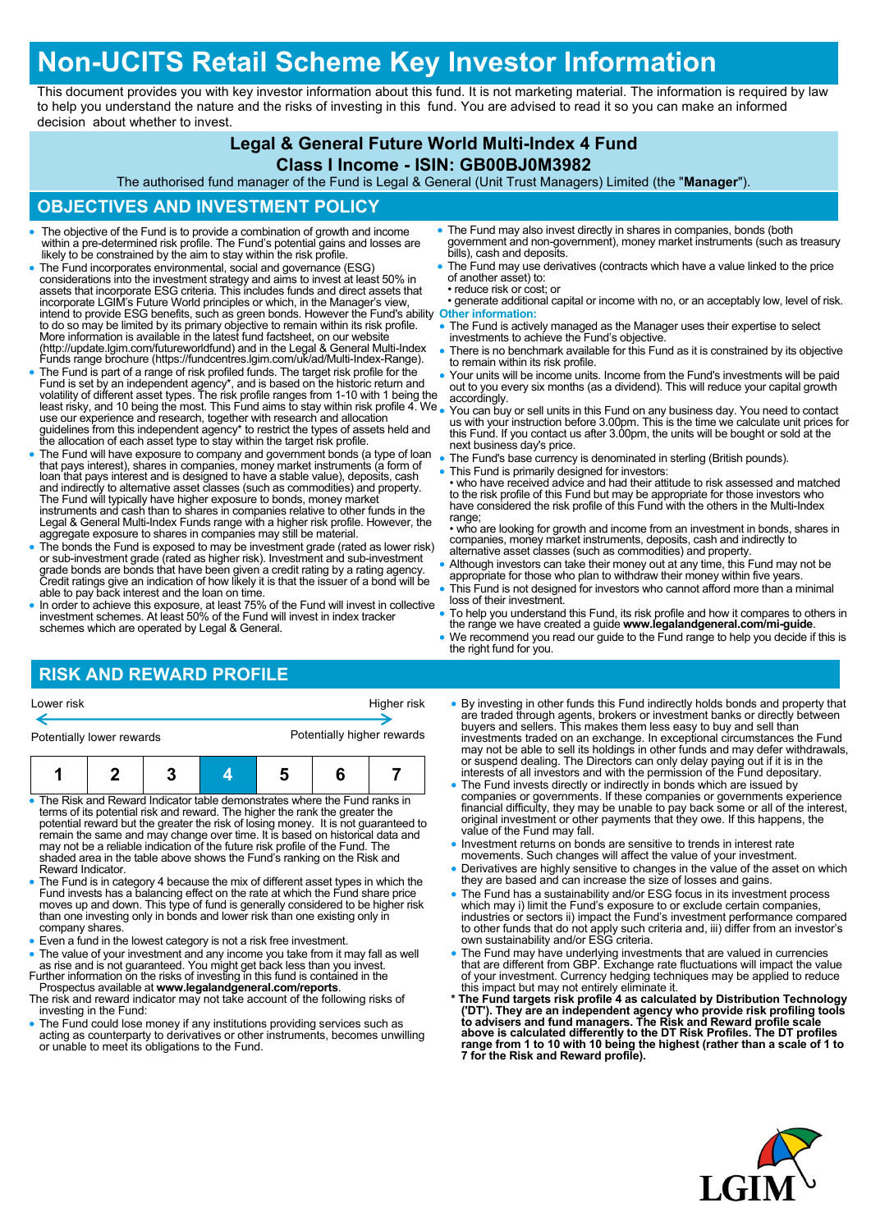# **Non-UCITS Retail Scheme Key Investor Information**

This document provides you with key investor information about this fund. It is not marketing material. The information is required by law to help you understand the nature and the risks of investing in this fund. You are advised to read it so you can make an informed decision about whether to invest.

## **Legal & General Future World Multi-Index 4 Fund**

#### **Class I Income - ISIN: GB00BJ0M3982**

The authorised fund manager of the Fund is Legal & General (Unit Trust Managers) Limited (the "**Manager**").

### **OBJECTIVES AND INVESTMENT POLICY**

- The objective of the Fund is to provide a combination of growth and income within a pre-determined risk profile. The Fund's potential gains and losses are likely to be constrained by the aim to stay within the risk profi
- The Fund incorporates environmental, social and governance (ESG) considerations into the investment strategy and aims to invest at least 50% in<br>assets that incorporate ESG criteria. This includes funds and direct assets that<br>incorporate LGIM's Future World principles or which, in the Ma intend to provide ESG benefits, such as green bonds. However the Fund's ability to do so may be limited by its primary objective to remain within its risk profile. **Other information:** More information is available in the latest fund factsheet, on our website (http://update.lgim.com/futureworldfund) and in the Legal & General Multi-Index Funds range brochure (https://fundcentres.lgim.com/uk/ad/Multi-Index-Range).
- The Fund is part of a range of risk profiled funds. The target risk profile for the Fund is set by an independent agency\*, and is based on the historic return and<br>volatility of different asset types. The risk profile ranges from 1-10 with 1 being the<br>least risky, and 10 being the most. This Fund aims to s guidelines from this independent agency\* to restrict the types of assets held and the allocation of each asset type to stay within the target risk profile.
- The Fund will have exposure to company and government bonds (a type of loan<br>that pays interest), shares in companies, money market instruments (a form of<br>loan that pays interest and is designed to have a stable value), d The Fund will typically have higher exposure to bonds, money market instruments and cash than to shares in companies relative to other funds in the Legal & General Multi-Index Funds range with a higher risk profile. However, the aggregate exposure to shares in companies may still be material.
- The bonds the Fund is exposed to may be investment grade (rated as lower risk) or sub-investment grade (rated as higher risk). Investment and sub-investment grade bonds are bonds that have been given a credit rating by a rating agency. Credit ratings give an indication of how likely it is that the issuer of a bond will be able to pay back interest and the loan on time.
- In order to achieve this exposure, at least 75% of the Fund will invest in collective investment schemes. At least 50% of the Fund will invest in index tracker schemes which are operated by Legal & General.
- The Fund may also invest directly in shares in companies, bonds (both government and non-government), money market instruments (such as treasury bills), cash and deposits.
- The Fund may use derivatives (contracts which have a value linked to the price of another asset) to:
- reduce risk or cost; or • generate additional capital or income with no, or an acceptably low, level of risk.
- The Fund is actively managed as the Manager uses their expertise to select investments to achieve the Fund's objective.
- There is no benchmark available for this Fund as it is constrained by its objective to remain within its risk profile.
- Your units will be income units. Income from the Fund's investments will be paid out to you every six months (as a dividend). This will reduce your capital growth accordingly.
- You can buy or sell units in this Fund on any business day. You need to contact us with your instruction before 3.00pm. This is the time we calculate unit prices for this Fund. If you contact us after 3.00pm, the units will be bought or sold at the next business day's price.
- The Fund's base currency is denominated in sterling (British pounds). This Fund is primarily designed for investors:
- who have received advice and had their attitude to risk assessed and matched to the risk profile of this Fund but may be appropriate for those investors who have considered the risk profile of this Fund with the others in the Multi-Index range;
- who are looking for growth and income from an investment in bonds, shares in companies, money market instruments, deposits, cash and indirectly to alternative asset classes (such as commodities) and property.
- Although investors can take their money out at any time, this Fund may not be appropriate for those who plan to withdraw their money within five years.
- This Fund is not designed for investors who cannot afford more than a minimal loss of their investment.
- To help you understand this Fund, its risk profile and how it compares to others in the range we have created a guide **www.legalandgeneral.com/mi-guide**.
- We recommend you read our guide to the Fund range to help you decide if this is the right fund for you.

## **RISK AND REWARD PROFILE**

|  | Lower risk |  |
|--|------------|--|
|--|------------|--|

Higher risk

Potentially lower rewards **Potentially higher rewards** 

| — — — — | $\overline{\phantom{a}}$ | $\cdots$<br>. .<br>$\overline{\phantom{a}}$ | . . | . . |  |
|---------|--------------------------|---------------------------------------------|-----|-----|--|

- The Risk and Reward Indicator table demonstrates where the Fund ranks in terms of its potential risk and reward. The higher the rank the greater the potential reward but the greater the risk of losing money. It is not guaranteed to remain the same and may change over time. It is based on historical data and may not be a reliable indication of the future risk profile of the Fund. The shaded area in the table above shows the Fund's ranking on the Risk and Reward Indicator.
- The Fund is in category 4 because the mix of different asset types in which the Fund invests has a balancing effect on the rate at which the Fund share price moves up and down. This type of fund is generally considered to be higher risk than one investing only in bonds and lower risk than one existing only in company shares.
- Even a fund in the lowest category is not a risk free investment.

• The value of your investment and any income you take from it may fall as well as rise and is not guaranteed. You might get back less than you invest.<br>Further information on the risks of investing in this fund is containe

- Prospectus available at **www.legalandgeneral.com/reports**.
- The risk and reward indicator may not take account of the following risks of investing in the Fund:
- The Fund could lose money if any institutions providing services such as acting as counterparty to derivatives or other instruments, becomes unwilling or unable to meet its obligations to the Fund.
- By investing in other funds this Fund indirectly holds bonds and property that are traded through agents, brokers or investment banks or directly between buyers and sellers. This makes them less easy to buy and sell than investments traded on an exchange. In exceptional circumstances the Fund may not be able to sell its holdings in other funds and may defer withdrawals, or suspend dealing. The Directors can only delay paying out if it is in the interests of all investors and with the permission of the Fund depositary.
- The Fund invests directly or indirectly in bonds which are issued by companies or governments. If these companies or governments experience financial difficulty, they may be unable to pay back some or all of the interest, original investment or other payments that they owe. If this happens, the value of the Fund may fall.
- Investment returns on bonds are sensitive to trends in interest rate
- movements. Such changes will affect the value of your investment. Derivatives are highly sensitive to changes in the value of the asset on which they are based and can increase the size of losses and gains.
- The Fund has a sustainability and/or ESG focus in its investment process which may i) limit the Fund's exposure to or exclude certain companies, industries or sectors ii) impact the Fund's investment performance compared to other funds that do not apply such criteria and, iii) differ from an investor's own sustainability and/or ESG criteria.
- The Fund may have underlying investments that are valued in currencies that are different from GBP. Exchange rate fluctuations will impact the value of your investment. Currency hedging techniques may be applied to reduce
- this impact but may not entirely eliminate it.<br>
\* The Fund targets risk profile 4 as calculated by Distribution Technology<br>
('DT'). They are an independent agency who provide risk profiling tools<br>
to advisers and fund mana **range from 1 to 10 with 10 being the highest (rather than a scale of 1 to 7 for the Risk and Reward profile).**